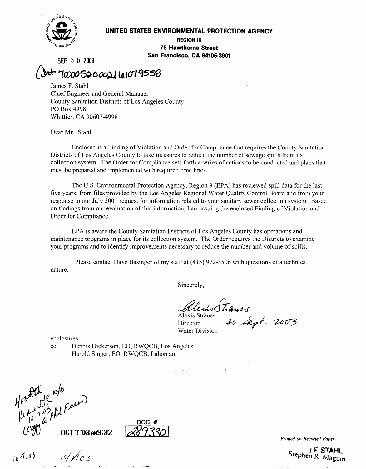

#### **UNITED STATES ENVIRONMENTAL PROTECTION AGENCY**

**REGION IX 75 Hawthorne Street San Francisco, CA 94105-3901** 

SEP **3 0 2003** 

ot 100005200021 101079558 James F. Stahl Chief Engineer and General Manager

County Sanitation Districts of Los Angeles County PO Box 4998 Whittier, CA 90607-4998

Dear Mr. Stahl:

Enclosed is a Finding of Violation and Order for Compliance that requires the County Sanitation Districts of Los Angeles County to take measures to reduce the number of sewage spills from its collection system. The Order for Compliance sets forth a series of actions to be conducted and plans that must be prepared and implemented with required time lines.

The U.S. Environmental Protection Agency, Region 9 (EPA) has reviewed spill data for the last five years, from files provided by the Los Angeles Regional Water Quality Control Board and from your response to our July 2001 request for information related to your sanitary sewer collection system. Based on findings from our evaluation of this information, I am issuing the enclosed Finding of Violation and Order for Compliance.

EPA is aware the County Sanitation Districts of Los Angeles County has operations and maintenance programs in place for its collection system. The Order requires the Districts to examine your programs and to identify improvements necessary to reduce the number and volume of spills.

Please contact Dave Basinger of my staff at (415) 972-3506 with questions of a technical nature.

Sincerely,

Alexis Stiauss Director Water Division

 $\label{eq:2} \frac{1}{2} \left( \frac{1}{2} \sum_{i=1}^n \frac{1}{2} \sum_{j=1}^n \frac{1}{2} \sum_{j=1}^n \frac{1}{2} \sum_{j=1}^n \frac{1}{2} \sum_{j=1}^n \frac{1}{2} \sum_{j=1}^n \frac{1}{2} \sum_{j=1}^n \frac{1}{2} \sum_{j=1}^n \frac{1}{2} \sum_{j=1}^n \frac{1}{2} \sum_{j=1}^n \frac{1}{2} \sum_{j=1}^n \frac{1}{2} \sum_{j=1}^n \frac{1}{2} \sum_{j$ 

enclosures

cc: Dennis Dickerson, EO, RWQCB, Los Angeles Harold Singer, EO, RWQCB, Lahontan

Howtothe 10/8<br>Represented Freem

OCT 7'03 AM9:32



*Printed on Recycled Paper* 

Stephen R. Maguin

 $10^{4.03}$   $10^{7}/03$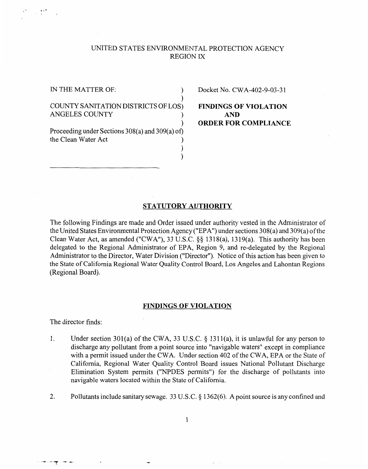## UNITED STATES ENVIRONMENTAL PROTECTION AGENCY REGION IX

..-

## COUNTY SANITATION DISTRICTS OF LOS) **FINDINGS OF VIOLATION**  ANGELES COUNTY  $\qquad \qquad$  **AND**

Proceeding under Sections 308(a) and 309(a) **of)**  the Clean Water Act 1

IN THE MATTER OF:  $Docket No. CWA-402-9-03-31$ 

) **ORDER FOR COMPLIANCE** 

#### **STATUTORY AUTHORITY**

) )

 $\mathbf{I}$ 

The following Findings are made and Order issued under authority vested in the Administrator of the United States Environmental Protection Agency ("EPA") under sections 308(a) and 309(a) of the Clean Water Act, as amended ("CWA"), 33 U.S.C. \$9 1318(a), 1319(a). This authority has been delegated to the Regional Administrator of EPA, Region 9, and re-delegated by the Regional Administrator to the Director, Water Division ("Director"). Notice of this action has been given to the State of California Regional Water Quality Control Board, Los Angeles and Lahontan Regions (Regional Board).

#### **FINDINGS OF VIOLATION**

The director finds:

"\* "'T '- -\*

- 1. Under section 301(a) of the CWA, 33 U.S.C. \$ 1311(a), it is unlawful for any person to discharge any pollutant from a point source into "navigable waters" except in compliance with a permit issued under the CWA. Under section 402 of the CWA, EPA or the State of California, Regional Water Quality Control Board issues National Pollutant Discharge Elimination System permits ("NPDES permits") for the discharge of pollutants into navigable waters located within the State of California.
- 2. Pollutants include sanitary sewage. 33 U.S.C. *5* 1362(6). Apoint source is any confined and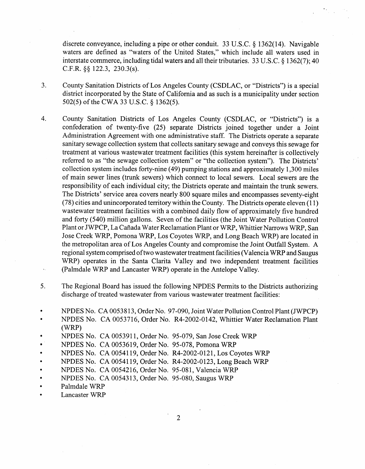discrete conveyance, including a pipe or other conduit. 33 U.S.C. *5* 1362(14). Navigable waters are defined as "waters of the United States," which include all waters used in interstate commerce, including tidal waters and all their tributaries. 33 U.S.C. *5* 1362(7); 40 C.F.R. **\$8** 122.3, 230.3(s).

- 3. County Sanitation Districts of Los Angeles County (CSDLAC, or "Districts") is a special district incorporated by the State of California and as such is a municipality under section 502(5) of the CWA 33 U.S.C. \$ 1362(5).
- 4. County Sanitation Districts of Los Angeles County (CSDLAC, or "Districts") is a confederation of twenty-five (25) separate Districts joined together under a Joint Administration Agreement with one administrative staff. The Districts operate a separate sanitary sewage collection system that collects sanitary sewage and conveys this sewage for treatment at various wastewater treatment facilities (this system hereinafter is collectively referred to as "the sewage collection system" or "the collection system"). The Districts' collection system includes forty-nine (49) pumping stations and approximately 1,300 miles of main sewer lines (trunk sewers) which connect to local sewers. Local sewers are the responsibility of each individual city; the Districts operate and maintain the trunk sewers. The Districts' service area covers nearly 800 square miles and encompasses seventy-eight  $(78)$  cities and unincorporated territory within the County. The Districts operate eleven  $(11)$ wastewater treatment facilities with a combined daily flow of approximately five hundred and forty (540) million gallons. Seven of the facilities (the Joint Water Pollution Control Plant or JWPCP, La Cafiada Water Reclamation Plant or WRP, Whittier Narrows WRP, San Jose Creek WRP, Pomona WRP, Los Coyotes WRP, and Long Beach WRP) are located in the metropolitan area of Los Angeles County and compromise the Joint Outfall System. A regional system comprised of two wastewater treatment facilities (Valencia WRP and Saugus WRP) operates in the Santa Clarita Valley and two independent treatment facilities (Palmdale WRP and Lancaster WRP) operate in the Antelope Valley.
- *5.*  The Regional Board has issued the following NPDES Permits to the Districts authorizing discharge of treated wastewater from various wastewater treatment facilities:
- *0*  NPDES No. CA 00538 13, Order No. 97-090, Joint Water Pollution Control Plant (JWPCP)
- *0*  NPDES No. CA 0053716, Order No. R4-2002-0142, Whittier Water Reclamation Plant (WRP)
- NPDES No. CA 0053911, Order No. 95-079, San Jose Creek WRP
- NPDES No. CA 0053619, Order No. 95-078, Pomona WRP
- NPDES No. CA 00541 19, Order No. R4-2002-0121, Los Coyotes WRP
- NPDES No. CA 00541 19, Order No. R4-2002-0123, Long Beach WRP
- NPDES No. CA 0054216, Order No. 95-081, Valencia WRP
- NPDES No. CA 00543 13, Order No. 95-080, Saugus WRP
- Palmdale WRP
- Lancaster WRP

2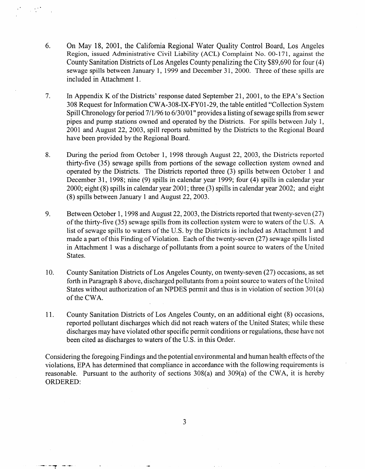- 6. On May 18, 2001, the California Regional Water Quality Control Board, Los Angeles Region, issued Administrative Civil Liability (ACL) Complaint No. 00-171, against the County Sanitation Districts of Los Angeles County penalizing the City \$89,690 for four (4) sewage spills between January 1, 1999 and December 31, 2000. Three of these spills are included in Attachment 1.
- 7. In Appendix K of the Districts' response dated September 21, 2001, to the EPA's Section 308 Request for Information CWA-308-IX-FYO1-29, the table entitled "Collection System Spill Chronology for period 7/1/96 to 6/30/01" provides a listing of sewage spills from sewer pipes and pump stations owned and operated by the Districts. For spills between July 1, 2001 and August 22, 2003, spill reports submitted by the Districts to the Regional Board have been provided by the Regional Board.
- 8. During the period from October 1, 1998 through August 22, 2003, the Districts reported thirty-five (35) sewage spills from portions of the sewage collection system owned and operated by the Districts. The Districts reported three (3) spills between October 1 and December 31, 1998; nine (9) spills in calendar year 1999; four (4) spills in calendar year 2000; eight (8) spills in calendar year 2001; three (3) spills in calendar year 2002; and eight (8) spills between January 1 and August 22,2003.
- 9. Between October 1, 1998 and August 22, 2003, the Districts reported that twenty-seven (27) of the thirty-five (35) sewage spills fiom its collection system were to waters of the U.S. **A**  list of sewage spills to waters of the U.S. by the Districts is included as Attachment 1 and made a part of this Finding of Violation. Each of the twenty-seven (27) sewage spills listed in Attachment 1 was a discharge of pollutants from a point source to waters of the United States.
- 10. County Sanitation Districts of Los Angeles County, on twenty-seven (27) occasions, as set forth in Paragraph 8 above, discharged pollutants from a point source to waters of the United States without authorization of an NPDES permit and thus is in violation of section 301(a) of the CWA.
- 11. County Sanitation Districts of Los Angeles County, on an additional eight (8) occasions, reported pollutant discharges which did not reach waters of the United States; while these discharges may have violated other specific permit conditions or regulations, these have not been cited as discharges to waters of the U.S. in this Order.

Considering the foregoing Findings and the potential environmental and human health effects of the violations, EPA has determined that compliance in accordance with the following requirements is reasonable. Pursuant to the authority of sections 308(a) and 309(a) of the CWA, it is hereby ORDERED:

3

-- "'T -\*-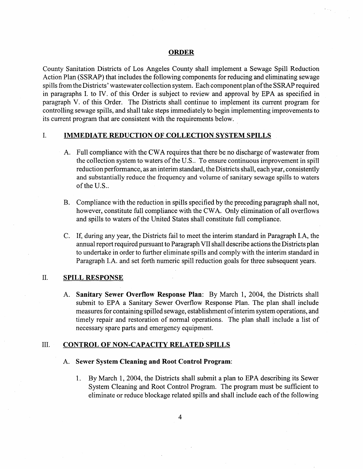#### **ORDER**

County Sanitation Districts of Los Angeles County shall implement a Sewage Spill Reduction Action Plan (SSRAP) that includes the following components for reducing and eliminating sewage spills from the Districts' wastewater collection system. Each component plan of the SSRAP required in paragraphs I. to IV. of this Order is subject to review and approval by EPA as specified in paragraph V. of this Order. The Districts shall continue to implement its current program for controlling sewage spills, and shall take steps immediately to begin implementing improvements to its current program that are consistent with the requirements below.

#### I. **IMMEDIATE REDUCTION OF COLLECTION SYSTEM SPILLS**

- **A.** Full compliance with the CWA requires that there be no discharge of wastewater from the collection system to waters of the U.S.. To ensure continuous improvement in spill reduction performance, as an interim standard, the Districts shall, each year, consistently and substantially reduce the frequency and volume of sanitary sewage spills to waters of the U.S..
- B. Compliance with the reduction in spills specified by the preceding paragraph shall not, however, constitute full compliance with the CWA. Only elimination of all overflows and spills to waters of the United States shall constitute full compliance.
- C. If, during any year, the Districts fail to meet the interim standard in Paragraph LA, the annual report required pursuant to Paragraph VII shall describe actions the Districts plan to undertake in order to further eliminate spills and comply with the interim standard in Paragraph I.A. and set forth numeric spill reduction goals for three subsequent years.

### 11. **SPILL RESPONSE**

A. **Sanitary Sewer Overflow Response Plan:** By March 1, 2004, the Districts shall submit to EPA a Sanitary Sewer Overflow Response Plan. The plan shall include measures for containing spilled sewage, establishment of interim system operations, and timely repair and restoration of normal operations. The plan shall include a list of necessary spare parts and emergency equipment.

## 111. **CONTROL OF NON-CAPACITY RELATED SPILLS**

#### A. **Sewer System Cleaning and Root Control Program:**

1. By March 1, 2004, the Districts shall submit a plan to EPA describing its Sewer System Cleaning and Root Control Program. The program must be sufficient to eliminate or reduce blockage related spills and shall include each of the following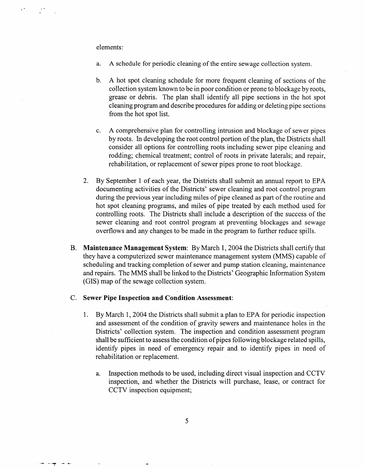elements:

.-

- a. **A** schedule for periodic cleaning of the entire sewage collection system.
- b. **A** hot spot cleaning schedule for more frequent cleaning of sections of the collection system known to be in poor condition or prone to blockage by roots, grease or debris. The plan shall identify all pipe sections in the hot spot cleaning program and describe procedures for adding or deleting pipe sections from the hot spot list.
- c. **A** comprehensive plan for controlling intrusion and blockage of sewer pipes by roots. In developing the root control portion of the plan, the Districts shall consider all options for controlling roots including sewer pipe cleaning and rodding; chemical treatment; control of roots in private laterals; and repair, rehabilitation, or replacement of sewer pipes prone to root blockage.
- 2. By September 1 of each year, the Districts shall submit an annual report to EPA documenting activities of the Districts' sewer cleaning and root control program during the previous year including miles of pipe cleaned as part of the routine and hot spot cleaning programs, and miles of pipe treated by each method used for controlling roots. The Districts shall include a description of the success of the sewer cleaning and root control program at preventing blockages and sewage overflows and any changes to be made in the program to further reduce spills.
- B. **Maintenance Management System:** By March 1,2004 the Districts shall certify that they have a computerized sewer maintenance management system (MMS) capable of scheduling and tracking completion of sewer and pump station cleaning, maintenance and repairs. The MMS shall be linked to the Districts' Geographic Information System (GIS) map of the sewage collection system.
- C. **Sewer Pipe Inspection and Condition Assessment:** 
	- 1. By March 1,2004 the Districts shall submit a plan to EPA for periodic inspection and assessment of the condition of gravity sewers and maintenance holes in the Districts' collection system. The inspection and condition assessment program shall be sufficient to assess the condition of pipes following blockage related spills, identify pipes in need of emergency repair and to identify pipes in need of rehabilitation or replacement.
		- a. Inspection methods to be used, including direct visual inspection and CCTV inspection, and whether the Districts will purchase, lease, or contract for CCTV inspection equipment;

*5*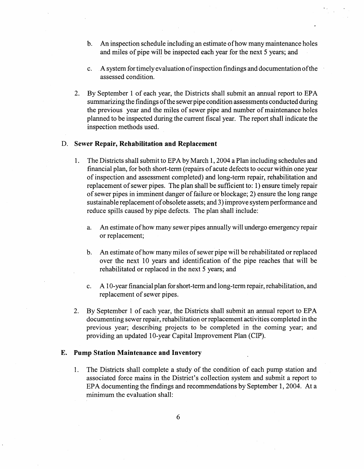- b. *An* inspection schedule including an estimate of how many maintenance holes and miles of pipe will be inspected each year for the next 5 years; and
- c. A system for timely evaluation of inspection findings and documentation of the assessed condition.
- 2. By September 1 of each year, the Districts shall submit an annual report to EPA summarizing the findings of the sewer pipe condition assessments conducted during the previous year and the miles of sewer pipe and number of maintenance holes planned to be inspected during the current fiscal year. The report shall indicate the inspection methods used.

#### D. **Sewer Repair, Rehabilitation and Replacement**

- 1. The Districts shall submit to EPA by March 1,2004 a Plan including schedules and financial plan, for both short-term (repairs of acute defects to occur within one year of inspection and assessment completed) and long-term repair, rehabilitation and replacement of sewer pipes. The plan shall be sufficient to: 1) ensure timely repair of sewer pipes in imminent danger of failure or blockage; 2) ensure the long range sustainable replacement of obsolete assets; and **3)** improve system performance and reduce spills caused by pipe defects. The plan shall include:
	- a. *An* estimate of how many sewer pipes annually will undergo emergency repair or replacement;
	- b. *An* estimate of how many miles of sewer pipe will be rehabilitated or replaced over the next 10 years and identification of the pipe reaches that will be rehabilitated or replaced in the next 5 years; and
	- c. A 1 0-year financial plan for short-term and long-term repair, rehabilitation, and replacement of sewer pipes.
- 2. By September 1 of each year, the Districts shall submit an annual report to EPA documenting sewer repair, rehabilitation or replacement activities completed in the previous year; describing projects to be completed in the coming year; and providing an updated 10-year Capital Improvement Plan (CIP).

#### **E. Pump Station Maintenance and Inventory**

1. The Districts shall complete a study of the condition of each pump station and associated force mains in the District's collection system and submit a report to EPA documenting the findings and recommendations by September 1,2004. At a minimum the evaluation shall: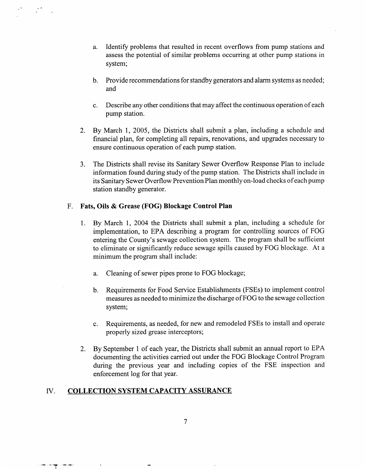- a. Identify problems that resulted in recent overflows from pump stations and assess the potential of similar problems occurring at other pump stations in system;
- b. Provide recommendations for standby generators and alarm systems as needed; and
- c. Describe any other conditions that may affect the continuous operation of each pump station.
- 2. By March 1, 2005, the Districts shall submit a plan, including a schedule and financial plan, for completing all repairs, renovations, and upgrades necessary to ensure continuous operation of each pump station.
- **3.** The Districts shall revise its Sanitary Sewer Overflow Response Plan to include information found during study of the pump station. The Districts shall include in its Sanitary Sewer Overflow Prevention Plan monthly on-load checks of each pump station standby generator.

#### F. **Fats, Oils** & **Grease (FOG) Blockage Control Plan**

..

- 1. By March 1, 2004 the Districts shall submit a plan, including a schedule for implementation, to EPA describing a program for controlling sources of FOG entering the County's sewage collection system. The program shall be sufficient to eliminate or significantly reduce sewage spills caused by FOG blockage. At a minimum the program shall include:
	- a. Cleaning of sewer pipes prone to FOG blockage;
	- b. Requirements for Food Service Establishments (FSEs) to implement control measures as needed to minimize the discharge of FOG to the sewage collection system;
	- c. Requirements, as needed, for new and remodeled FSEs to install and operate properly sized grease interceptors;
- 2. By September 1 of each year, the Districts shall submit an annual report to EPA documenting the activities carried out under the FOG Blockage Control Program during the previous year and including copies of the FSE inspection and enforcement log for that year.

#### IV. **COLLECTION SYSTEM CAPACITY ASSURANCE**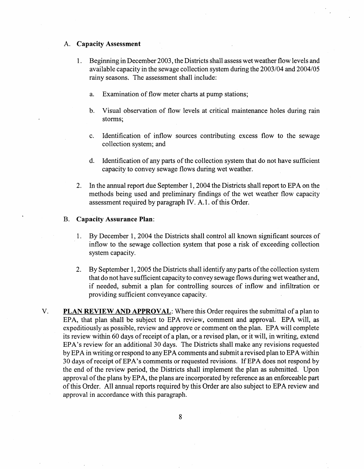#### **A. Capacity Assessment**

- 1. Beginning in December 2003, the Districts shall assess wet weather flow levels and available capacity in the sewage collection system during the 2003/04 and 2004/05 rainy seasons. The assessment shall include:
	- a. Examination of flow meter charts at pump stations;
	- b. Visual observation of flow levels at critical maintenance holes during rain storms;
	- c. Identification of inflow sources contributing excess flow to the sewage collection system; and
	- d. Identification of any parts of the collection system that do not have sufficient capacity to convey sewage flows during wet weather.
- 2. In the annual report due September 1,2004 the Districts shall report to EPA on the methods being used and preliminary findings of the wet weather flow capacity assessment required by paragraph IV. A. 1. of this Order.

#### B. **Capacity Assurance Plan:**

- 1. By December 1, 2004 the Districts shall control all known significant sources of inflow to the sewage collection system that pose a risk of exceeding collection system capacity.
- 2. By September 1,2005 the Districts shall identify any parts of the collection system that do not have sufficient capacity to convey sewage flows during wet weather and, if needed, submit a plan for controlling sources of inflow and infiltration or providing sufficient conveyance capacity.
- V. **PLAN REVIEW AND APPROVAL:** Where this Order requires the submittal of a plan to EPA, that plan shall be subject to EPA review, comment and approval. EPA will, as expeditiously as possible, review and approve or comment on the plan. EPA will complete its review within 60 days of receipt of a plan, or a revised plan, or it will, in writing, extend EPA's review for an additional 30 days. The Districts shall make any revisions requested by EPA in writing or respond to any EPA comments and submit a revised plan to EPA within 30 days of receipt of EPA's comments or requested revisions. If EPA does not respond by the end of the review period, the Districts shall implement the plan as submitted. Upon approval of the plans by EPA, the plans are incorporated by reference as an enforceable part of this Order. All annual reports required by this Order are also subject to EPA review and approval in accordance with this paragraph.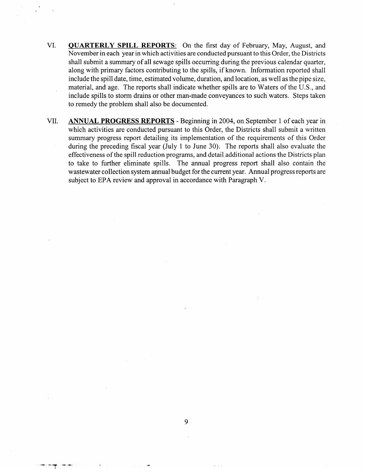- VI. **QUARTERLY SPILL REPORTS:** On the first day of February, May, August, and November in each year in which activities are conducted pursuant to this Order, the Districts shall submit a summary of all sewage spills occurring during the previous calendar quarter, along with primary factors contributing to the spills, if known. Information reported shall include the spill date, time, estimated volume, duration, and location, as well as the pipe size, material, and age. The reports shall indicate whether spills are to Waters of the U.S., and include spills to storm drains or other man-made conveyances to such waters. Steps taken to remedy the problem shall also be documented.
- VII. **ANNUAL PROGRESS REPORTS**  Beginning in 2004, on September 1 of each year in which activities are conducted pursuant to this Order, the Districts shall submit a written summary progress report detailing its implementation of the requirements of this Order during the preceding fiscal year (July 1 to June 30). The reports shall also evaluate the effectiveness of the spill reduction programs, and detail additional actions the Districts plan to take to further eliminate spills. The annual progress report shall also contain the wastewater collection system annual budget for the current year. Annual progress reports are subject to EPA review and approval in accordance with Paragraph V.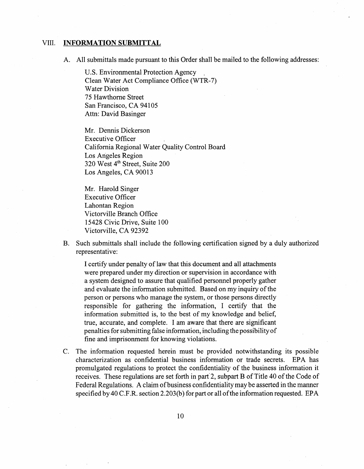#### VIII. **INFORMATION SUBMITTAL**

A. All submittals made pursuant to this Order shall be mailed to the following addresses:

U.S. Environmental Protection Agency Clean Water Act Compliance Office (WTR-7) Water Division 75 Hawthorne Street San Francisco, CA 94105 Attn: David Basinger

Mr. Dennis Dickerson Executive Officer California Regional Water Quality Control Board Los Angeles Region 320 West 4<sup>th</sup> Street, Suite 200 Los Angeles, CA 90013

Mr. Harold Singer Executive Officer Lahontan Region Victorville Branch Office 15428 Civic Drive, Suite 100 Victorville, CA 92392

B. Such submittals shall include the following certification signed by a duly authorized representative:

I certify under penalty of law that this document and all attachments were prepared under my direction or supervision in accordance with a system designed to assure that qualified personnel properly gather and evaluate the information submitted. Based on my inquiry of the person or persons who manage the system, or those persons directly responsible for gathering the information, I certify that the information submitted is, to the best of my knowledge and belief, true, accurate, and complete. I am aware that there are significant penalties for submitting false information, including the possibility of fine and imprisonment for knowing violations.

C. The information requested herein must be provided notwithstanding its possible characterization as confidential business information or trade secrets. EPA has promulgated regulations to protect the confidentiality of the business information it receives. These regulations are set forth in part'2, subpart B of Title 40 of the Code of Federal Regulations. **A** claim of business confidentiality may be asserted in the manner specified by 40 C.F.R. section 2.203(b) for part or all of the information requested. EPA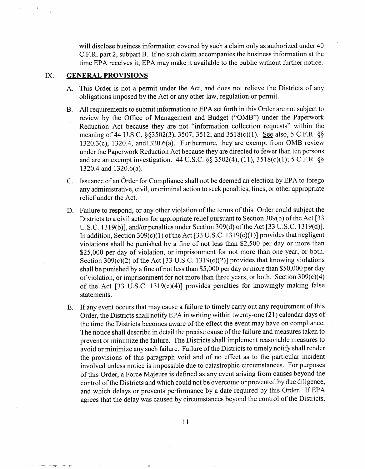will disclose business information covered by such a claim only as authorized under 40 C.F.R. part 2, subpart B. If no such claim accompanies the business information at the time EPA receives it, EPA may make it available to the public without further notice.

#### IX. **GENERAL PROVISIONS**

--- "'T .---'

- A. This Order is not a permit under the Act, and does not relieve the Districts of any obligations imposed by the Act or any other law, regulation or permit.
- B. All requirements to submit information to EPA set forth in this Order are not subject to review by the Office of Management and Budget ("OMB") under the Paperwork Reduction Act because they are not "information collection requests" within the meaning of 44 U.S.C. §§3502(3), 3507, 3512, and 3518(c)(1). See also, 5 C.F.R. §§  $1320.3(c)$ ,  $1320.4$ , and $1320.6(a)$ . Furthermore, they are exempt from OMB review under the Paperwork Reduction Act because they are directed to fewer than ten persons and are an exempt investigation. 44 U.S.C. *55* 3502(4), (1 l), 3518(c)(l); *5* C.F.R. *\$5*  1320.4 and 1320.6(a).
- C. Issuance'of an Order for Compliance shall not be deemed an election by EPA to forego any administrative, civil, or criminal action to seek penalties, fines, or other appropriate relief under the Act.
- D. Failure to respond, or any other violation of the terms of this Order could subject the Districts to a civil action for appropriate relief pursuant to Section 309(b) of the Act [33 U.S.C. 1319(b)], and/or penalties under Section 309(d) of the Act [33 U.S.C. 1319(d)]. In addition, Section 309(c)(1) of the Act [33 U.S.C. 1319(c)(1)] provides that negligent violations shall be punished by a fine of not less than \$2,500 per day or more than \$25,000 per day of violation, or imprisonment for not more than one year, or both. Section 309(c)(2) of the Act [33 U.S.C. 1319(c)(2)] provides that knowing violations shall be punished by a fine of not less than \$5,000 per day or more than \$50,000 per day of violation, or imprisonment for not more than three years, or both. Section 309(c)(4) of the Act [33 U.S.C. 1319(c)(4)] provides penalties for knowingly making false statements.
- E. If any event occurs that may cause a failure to timely carry out any requirement of this Order, the Districts shall notify EPA in writing within twenty-one (2 1) calendar days of the time the Districts becomes aware of the effect the event may have on compliance. The notice shall describe in detail the precise cause of the failure and measures taken to prevent or minimize the failure. The Districts shall implement reasonable measures to avoid or minimize any such failure. Failure of the Districts to timely notify shall render the provisions of this paragraph void and of no effect as to the particular incident involved unless notice is impossible due to catastrophic circumstances. For purposes of this Order, a Force Majeure is defined as any event arising from causes beyond the control of the Districts and which could not be overcome or prevented by due diligence, and which delays or prevents performance by a date required by this Order. If EPA agrees that the delay was caused by circumstances beyond the control of the Districts,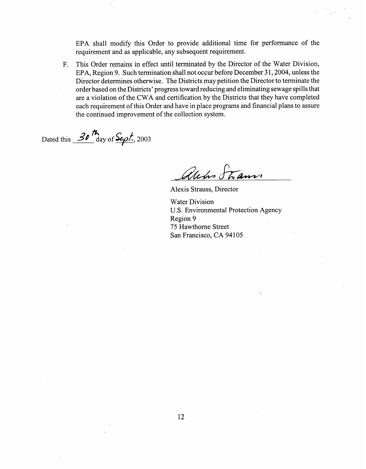EPA shall modify this Order to provide additional time for performance of the requirement and as applicable, any subsequent requirement.

F. This Order remains in effect until terminated by the Director of the Water Division, EPA, Region 9. Such termination shall not occur before December 31, 2004, unless the Director determines otherwise. The Districts may petition the Director to terminate the order based on the Districts' progress toward reducing and eliminating sewage spills that are a violation of the CWA and certification by the Districts that they have completed each requirement of this Order and have in place programs and financial plans to assure the continued improvement of the collection system.

Dated this **30<sup>th</sup> day of Sept.**, 2003

alchs Strams

Alexis Strauss, Director

Water Division U.S. Environmental Protection Agency Region 9 75 Hawthorne Street San Francisco, CA 94105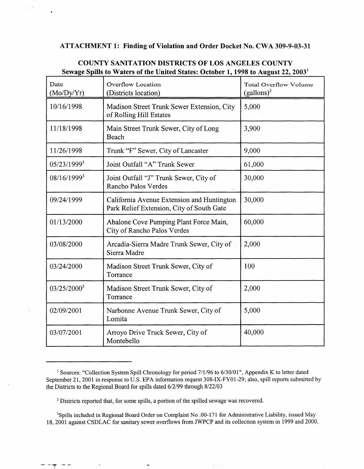## **ATTACHMENT 1: Finding of Violation and Order Docket No. CWA 309-9-03-31**

| Date<br>(Mo/Dy/Yr)      | Overflow Location<br>(Districts location)                                               | <b>Total Overflow Volume</b><br>$(gallons)^2$ |
|-------------------------|-----------------------------------------------------------------------------------------|-----------------------------------------------|
| 10/16/1998              | Madison Street Trunk Sewer Extension, City<br>of Rolling Hill Estates                   | 5,000                                         |
| 11/18/1998              | Main Street Trunk Sewer, City of Long<br>Beach                                          | 3,900                                         |
| 11/26/1998              | Trunk "F" Sewer, City of Lancaster                                                      | 9,000                                         |
| 05/23/19993             | Joint Outfall "A" Trunk Sewer                                                           | 61,000                                        |
| 08/16/19993             | Joint Outfall "J" Trunk Sewer, City of<br>Rancho Palos Verdes                           | 30,000                                        |
| 09/24/1999              | California Avenue Extension and Huntington<br>Park Relief Extension, City of South Gate | 30,000                                        |
| 01/13/2000              | Abalone Cove Pumping Plant Force Main,<br>City of Rancho Palos Verdes                   | 60,000                                        |
| 03/08/2000              | Arcadia-Sierra Madre Trunk Sewer, City of<br>Sierra Madre                               | 2,000                                         |
| 03/24/2000              | Madison Street Trunk Sewer, City of<br>Torrance                                         | 100                                           |
| 03/25/2000 <sup>3</sup> | Madison Street Trunk Sewer, City of<br>Torrance                                         | 2,000                                         |
| 02/09/2001              | Narbonne Avenue Trunk Sewer, City of<br>Lomita                                          | 5,000                                         |
| 03/07/2001              | Arroyo Drive Truck Sewer, City of<br>Montebello                                         | 40,000                                        |

# **COUNTY SANITATION DISTRICTS OF LOS ANGELES COUNTY Sewage Spills to Waters of the United States: October 1,1998 to August 22,2003'**

- --r **I-** -

<sup>3</sup>Spills included in Regional Board Order on Complaint No .00-171 for Administrative Liability, issued May 18,2001 against CSDLAC for sanitary sewer overflows from JWPCP and its collection system in 1999 and 2000.

<sup>&</sup>lt;sup>1</sup> Sources: "Collection System Spill Chronology for period 7/1/96 to 6/30/01", Appendix K to letter dated September 21, 2001 in response to U.S. EPA information request 308-IX-FY01-29; also, spill reports submitted by the Districts to the Regional Board for spills dated 6/2/99 through 8/22/03

<sup>&</sup>lt;sup>2</sup> Districts reported that, for some spills, a portion of the spilled sewage was recovered.